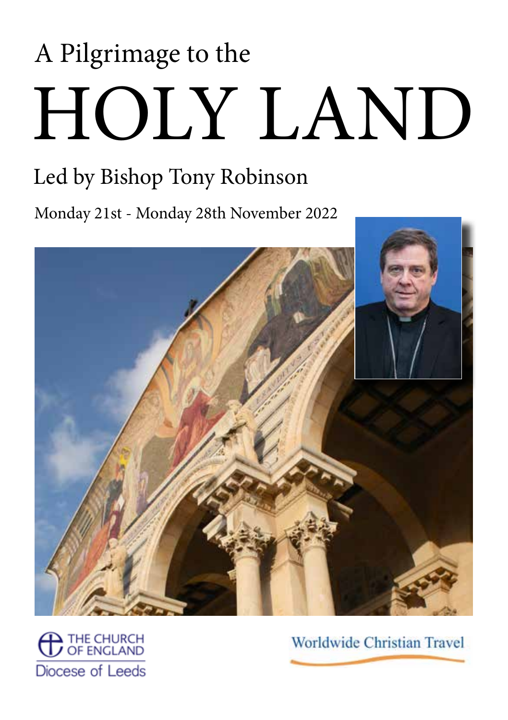# HOLY LAND A Pilgrimage to the

# Led by Bishop Tony Robinson

Monday 21st - Monday 28th November 2022



THE CHURCH<br>OF ENGLAND Diocese of Leeds

**Worldwide Christian Travel**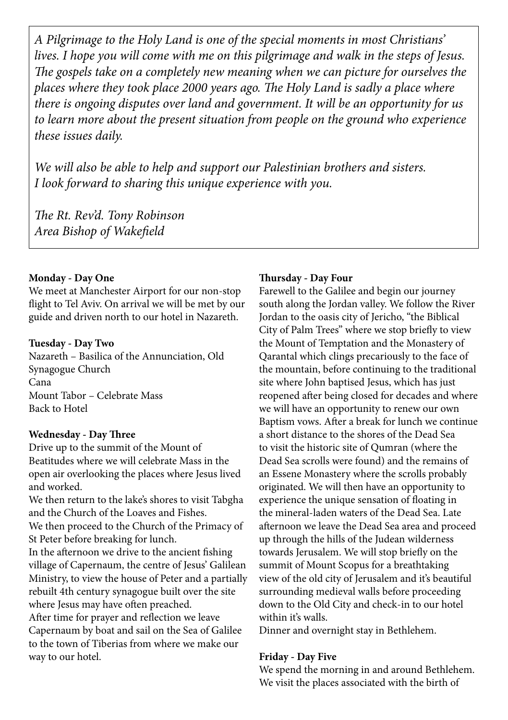*A Pilgrimage to the Holy Land is one of the special moments in most Christians' lives. I hope you will come with me on this pilgrimage and walk in the steps of Jesus. The gospels take on a completely new meaning when we can picture for ourselves the places where they took place 2000 years ago. The Holy Land is sadly a place where there is ongoing disputes over land and government. It will be an opportunity for us to learn more about the present situation from people on the ground who experience these issues daily.*

*We will also be able to help and support our Palestinian brothers and sisters. I look forward to sharing this unique experience with you.*

*The Rt. Rev'd. Tony Robinson Area Bishop of Wakefield*

#### **Monday - Day One**

We meet at Manchester Airport for our non-stop flight to Tel Aviv. On arrival we will be met by our guide and driven north to our hotel in Nazareth.

#### **Tuesday - Day Two**

Nazareth – Basilica of the Annunciation, Old Synagogue Church Cana Mount Tabor – Celebrate Mass Back to Hotel

#### **Wednesday - Day Three**

Drive up to the summit of the Mount of Beatitudes where we will celebrate Mass in the open air overlooking the places where Jesus lived and worked.

We then return to the lake's shores to visit Tabgha and the Church of the Loaves and Fishes. We then proceed to the Church of the Primacy of St Peter before breaking for lunch.

In the afternoon we drive to the ancient fishing village of Capernaum, the centre of Jesus' Galilean Ministry, to view the house of Peter and a partially rebuilt 4th century synagogue built over the site where Jesus may have often preached.

After time for prayer and reflection we leave Capernaum by boat and sail on the Sea of Galilee to the town of Tiberias from where we make our way to our hotel.

#### **Thursday - Day Four**

Farewell to the Galilee and begin our journey south along the Jordan valley. We follow the River Jordan to the oasis city of Jericho, "the Biblical City of Palm Trees" where we stop briefly to view the Mount of Temptation and the Monastery of Qarantal which clings precariously to the face of the mountain, before continuing to the traditional site where John baptised Jesus, which has just reopened after being closed for decades and where we will have an opportunity to renew our own Baptism vows. After a break for lunch we continue a short distance to the shores of the Dead Sea to visit the historic site of Qumran (where the Dead Sea scrolls were found) and the remains of an Essene Monastery where the scrolls probably originated. We will then have an opportunity to experience the unique sensation of floating in the mineral-laden waters of the Dead Sea. Late afternoon we leave the Dead Sea area and proceed up through the hills of the Judean wilderness towards Jerusalem. We will stop briefly on the summit of Mount Scopus for a breathtaking view of the old city of Jerusalem and it's beautiful surrounding medieval walls before proceeding down to the Old City and check-in to our hotel within it's walls.

Dinner and overnight stay in Bethlehem.

#### **Friday - Day Five**

We spend the morning in and around Bethlehem. We visit the places associated with the birth of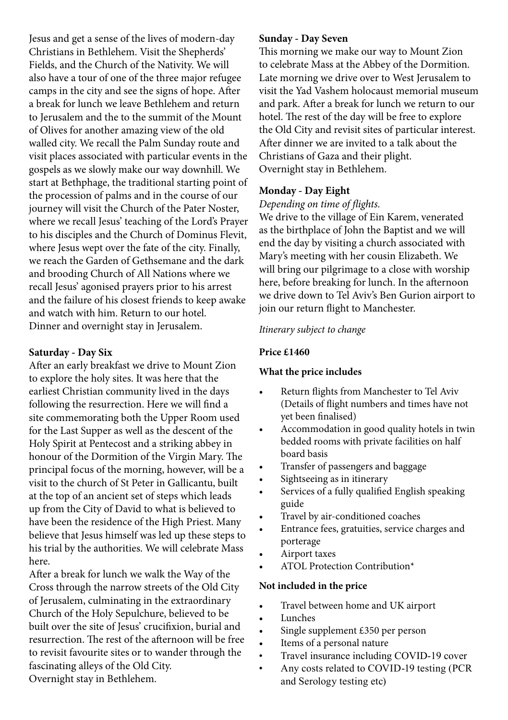Jesus and get a sense of the lives of modern-day Christians in Bethlehem. Visit the Shepherds' Fields, and the Church of the Nativity. We will also have a tour of one of the three major refugee camps in the city and see the signs of hope. After a break for lunch we leave Bethlehem and return to Jerusalem and the to the summit of the Mount of Olives for another amazing view of the old walled city. We recall the Palm Sunday route and visit places associated with particular events in the gospels as we slowly make our way downhill. We start at Bethphage, the traditional starting point of the procession of palms and in the course of our journey will visit the Church of the Pater Noster, where we recall Jesus' teaching of the Lord's Prayer to his disciples and the Church of Dominus Flevit, where Jesus wept over the fate of the city. Finally, we reach the Garden of Gethsemane and the dark and brooding Church of All Nations where we recall Jesus' agonised prayers prior to his arrest and the failure of his closest friends to keep awake and watch with him. Return to our hotel. Dinner and overnight stay in Jerusalem.

#### **Saturday - Day Six**

After an early breakfast we drive to Mount Zion to explore the holy sites. It was here that the earliest Christian community lived in the days following the resurrection. Here we will find a site commemorating both the Upper Room used for the Last Supper as well as the descent of the Holy Spirit at Pentecost and a striking abbey in honour of the Dormition of the Virgin Mary. The principal focus of the morning, however, will be a visit to the church of St Peter in Gallicantu, built at the top of an ancient set of steps which leads up from the City of David to what is believed to have been the residence of the High Priest. Many believe that Jesus himself was led up these steps to his trial by the authorities. We will celebrate Mass here.

After a break for lunch we walk the Way of the Cross through the narrow streets of the Old City of Jerusalem, culminating in the extraordinary Church of the Holy Sepulchure, believed to be built over the site of Jesus' crucifixion, burial and resurrection. The rest of the afternoon will be free to revisit favourite sites or to wander through the fascinating alleys of the Old City. Overnight stay in Bethlehem.

#### **Sunday - Day Seven**

This morning we make our way to Mount Zion to celebrate Mass at the Abbey of the Dormition. Late morning we drive over to West Jerusalem to visit the Yad Vashem holocaust memorial museum and park. After a break for lunch we return to our hotel. The rest of the day will be free to explore the Old City and revisit sites of particular interest. After dinner we are invited to a talk about the Christians of Gaza and their plight. Overnight stay in Bethlehem.

#### **Monday - Day Eight**

#### *Depending on time of flights.*

We drive to the village of Ein Karem, venerated as the birthplace of John the Baptist and we will end the day by visiting a church associated with Mary's meeting with her cousin Elizabeth. We will bring our pilgrimage to a close with worship here, before breaking for lunch. In the afternoon we drive down to Tel Aviv's Ben Gurion airport to join our return flight to Manchester.

#### *Itinerary subject to change*

#### **Price £1460**

#### **What the price includes**

- Return flights from Manchester to Tel Aviv (Details of flight numbers and times have not yet been finalised)
- Accommodation in good quality hotels in twin bedded rooms with private facilities on half board basis
- Transfer of passengers and baggage
- Sightseeing as in itinerary
- Services of a fully qualified English speaking guide
- Travel by air-conditioned coaches
- Entrance fees, gratuities, service charges and porterage
- Airport taxes
- ATOL Protection Contribution\*

#### **Not included in the price**

- Travel between home and UK airport
- Lunches
- Single supplement £350 per person
- Items of a personal nature
- Travel insurance including COVID-19 cover
- Any costs related to COVID-19 testing (PCR and Serology testing etc)